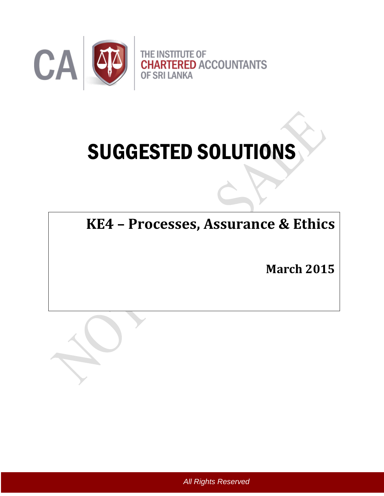

# SUGGESTED SOLUTIONS

**KE4 – Processes, Assurance & Ethics** 

**March 2015**



*All Rights Reserved*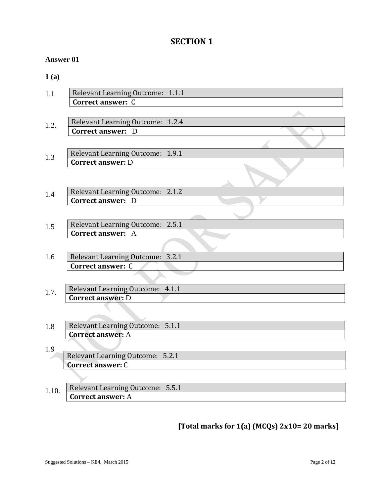# **SECTION 1**

## **Answer 01**

**1 (a)**

| 1.1   | Relevant Learning Outcome: 1.1.1<br>Correct answer: C        |
|-------|--------------------------------------------------------------|
| 1.2.  | Relevant Learning Outcome: 1.2.4<br><b>Correct answer: D</b> |
| 1.3   | Relevant Learning Outcome: 1.9.1<br><b>Correct answer: D</b> |
| 1.4   | Relevant Learning Outcome: 2.1.2<br><b>Correct answer: D</b> |
| 1.5   | Relevant Learning Outcome: 2.5.1<br><b>Correct answer: A</b> |
| 1.6   | Relevant Learning Outcome: 3.2.1<br><b>Correct answer: C</b> |
| 1.7.  | Relevant Learning Outcome: 4.1.1<br><b>Correct answer: D</b> |
| 1.8   | Relevant Learning Outcome: 5.1.1<br><b>Correct answer: A</b> |
| 1.9   | Relevant Learning Outcome: 5.2.1<br><b>Correct answer: C</b> |
| 1.10. | Relevant Learning Outcome: 5.5.1<br>Correct answer: A        |

**[Total marks for 1(a) (MCQs) 2x10= 20 marks]**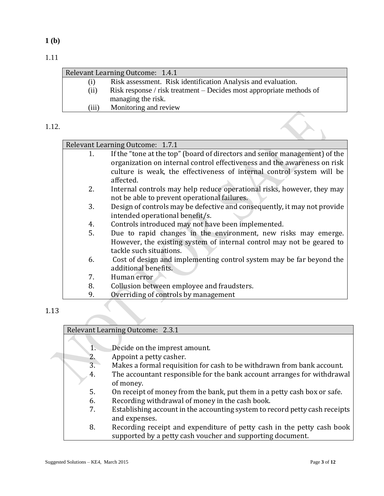1.11

|                  | Relevant Learning Outcome: 1.4.1                                                           |
|------------------|--------------------------------------------------------------------------------------------|
| $\left(1\right)$ | Risk assessment. Risk identification Analysis and evaluation.                              |
| (ii)             | Risk response / risk treatment – Decides most appropriate methods of<br>managing the risk. |
| (iii)            | Monitoring and review                                                                      |
|                  |                                                                                            |

#### 1.12.

|    | Relevant Learning Outcome: 1.7.1                                           |
|----|----------------------------------------------------------------------------|
| 1. | If the "tone at the top" (board of directors and senior management) of the |
|    | organization on internal control effectiveness and the awareness on risk   |
|    | culture is weak, the effectiveness of internal control system will be      |
|    | affected.                                                                  |
| 2. | Internal controls may help reduce operational risks, however, they may     |
|    | not be able to prevent operational failures.                               |
| 3. | Design of controls may be defective and consequently, it may not provide   |
|    | intended operational benefit/s.                                            |
| 4. | Controls introduced may not have been implemented.                         |
| 5. | Due to rapid changes in the environment, new risks may emerge.             |
|    | However, the existing system of internal control may not be geared to      |
|    | tackle such situations.                                                    |
| 6. | Cost of design and implementing control system may be far beyond the       |
|    | additional benefits.                                                       |
| 7. | Human error                                                                |
| 8. | Collusion between employee and fraudsters.                                 |
| 9. | Overriding of controls by management                                       |
|    |                                                                            |

# 1.13

#### Relevant Learning Outcome: 2.3.1

- 1. Decide on the imprest amount.
- 2. Appoint a petty casher.
- 3. Makes a formal requisition for cash to be withdrawn from bank account.
- 4. The accountant responsible for the bank account arranges for withdrawal of money.
- 5. On receipt of money from the bank, put them in a petty cash box or safe.
- 6. Recording withdrawal of money in the cash book.
- 7. Establishing account in the accounting system to record petty cash receipts and expenses.
- 8. Recording receipt and expenditure of petty cash in the petty cash book supported by a petty cash voucher and supporting document.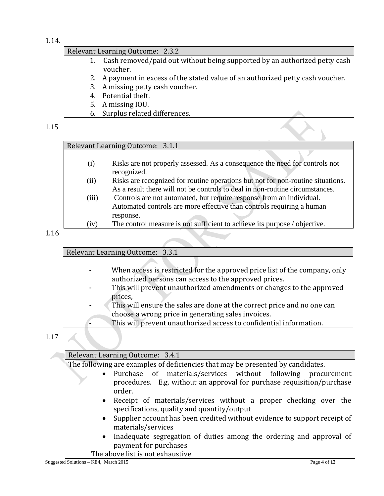1.14.

#### Relevant Learning Outcome: 2.3.2

- 1. Cash removed/paid out without being supported by an authorized petty cash voucher.
- 2. A payment in excess of the stated value of an authorized petty cash voucher.
- 3. A missing petty cash voucher.
- 4. Potential theft.
- 5. A missing IOU.
- 6. Surplus related differences.

#### 1.15

#### Relevant Learning Outcome: 3.1.1

- (i) Risks are not properly assessed. As a consequence the need for controls not recognized.
- (ii) Risks are recognized for routine operations but not for non-routine situations. As a result there will not be controls to deal in non-routine circumstances.
- (iii) Controls are not automated, but require response from an individual. Automated controls are more effective than controls requiring a human response.
- (iv) The control measure is not sufficient to achieve its purpose / objective.

#### 1.16

Relevant Learning Outcome: 3.3.1

- When access is restricted for the approved price list of the company, only authorized persons can access to the approved prices.
- **-** This will prevent unauthorized amendments or changes to the approved prices,
- **-** This will ensure the sales are done at the correct price and no one can choose a wrong price in generating sales invoices.
	- This will prevent unauthorized access to confidential information.

# 1.17

| Relevant Learning Outcome: 3.4.1                                                                                                                   |
|----------------------------------------------------------------------------------------------------------------------------------------------------|
| The following are examples of deficiencies that may be presented by candidates.                                                                    |
| • Purchase of materials/services without following procurement<br>procedures. E.g. without an approval for purchase requisition/purchase<br>order. |
| • Receipt of materials/services without a proper checking over the<br>specifications, quality and quantity/output                                  |
| • Supplier account has been credited without evidence to support receipt of<br>materials/services                                                  |
| Inadequate segregation of duties among the ordering and approval of<br>$\bullet$<br>payment for purchases                                          |
| The above list is not exhaustive                                                                                                                   |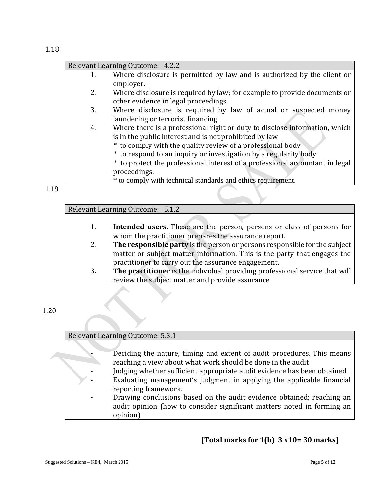| 1. | Where disclosure is permitted by law and is authorized by the client or<br>employer.                                                                                                                                                                                                                                                                                                                                                   |
|----|----------------------------------------------------------------------------------------------------------------------------------------------------------------------------------------------------------------------------------------------------------------------------------------------------------------------------------------------------------------------------------------------------------------------------------------|
| 2. | Where disclosure is required by law; for example to provide documents or<br>other evidence in legal proceedings.                                                                                                                                                                                                                                                                                                                       |
| 3. | Where disclosure is required by law of actual or suspected money<br>laundering or terrorist financing                                                                                                                                                                                                                                                                                                                                  |
| 4. | Where there is a professional right or duty to disclose information, which<br>is in the public interest and is not prohibited by law<br>* to comply with the quality review of a professional body<br>* to respond to an inquiry or investigation by a regularity body<br>* to protect the professional interest of a professional accountant in legal<br>proceedings.<br>* to comply with technical standards and ethics requirement. |

1.19

Relevant Learning Outcome: 5.1.2

- 1. **Intended users.** These are the person, persons or class of persons for whom the practitioner prepares the assurance report.
- 2. **The responsible party** is the person or persons responsible for the subject matter or subject matter information. This is the party that engages the practitioner to carry out the assurance engagement.
- 3**. The practitioner** is the individual providing professional service that will review the subject matter and provide assurance

1.20

Relevant Learning Outcome: 5.3.1

- **-** Deciding the nature, timing and extent of audit procedures. This means reaching a view about what work should be done in the audit
- **-** Judging whether sufficient appropriate audit evidence has been obtained
- **-** Evaluating management's judgment in applying the applicable financial reporting framework.
- **-** Drawing conclusions based on the audit evidence obtained; reaching an audit opinion (how to consider significant matters noted in forming an opinion)

# **[Total marks for 1(b) 3 x10= 30 marks]**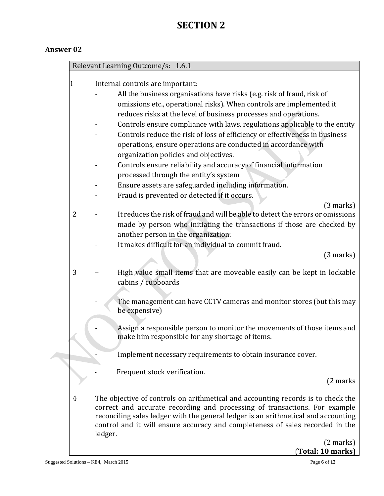# **SECTION 2**

# **Answer 02**

|              |         | Relevant Learning Outcome/s: 1.6.1                                                 |
|--------------|---------|------------------------------------------------------------------------------------|
|              |         |                                                                                    |
| $\mathbf{1}$ |         | Internal controls are important:                                                   |
|              |         | All the business organisations have risks (e.g. risk of fraud, risk of             |
|              |         | omissions etc., operational risks). When controls are implemented it               |
|              |         | reduces risks at the level of business processes and operations.                   |
|              |         | Controls ensure compliance with laws, regulations applicable to the entity         |
|              |         | Controls reduce the risk of loss of efficiency or effectiveness in business        |
|              |         | operations, ensure operations are conducted in accordance with                     |
|              |         | organization policies and objectives.                                              |
|              |         | Controls ensure reliability and accuracy of financial information                  |
|              |         | processed through the entity's system                                              |
|              |         | Ensure assets are safeguarded including information.                               |
|              |         | Fraud is prevented or detected if it occurs.                                       |
|              |         | (3 marks)                                                                          |
| 2            |         | It reduces the risk of fraud and will be able to detect the errors or omissions    |
|              |         | made by person who initiating the transactions if those are checked by             |
|              |         | another person in the organization.                                                |
|              |         | It makes difficult for an individual to commit fraud.                              |
|              |         | (3 marks)                                                                          |
|              |         |                                                                                    |
| 3            |         | High value small items that are moveable easily can be kept in lockable            |
|              |         | cabins / cupboards                                                                 |
|              |         | The management can have CCTV cameras and monitor stores (but this may              |
|              |         | be expensive)                                                                      |
|              |         |                                                                                    |
|              |         | Assign a responsible person to monitor the movements of those items and            |
|              |         | make him responsible for any shortage of items.                                    |
|              |         |                                                                                    |
|              |         | Implement necessary requirements to obtain insurance cover.                        |
|              |         | Frequent stock verification.                                                       |
|              |         | (2 marks)                                                                          |
|              |         |                                                                                    |
| 4            |         | The objective of controls on arithmetical and accounting records is to check the   |
|              |         | correct and accurate recording and processing of transactions. For example         |
|              |         | reconciling sales ledger with the general ledger is an arithmetical and accounting |
|              | ledger. | control and it will ensure accuracy and completeness of sales recorded in the      |
|              |         | $(2 \text{ marks})$                                                                |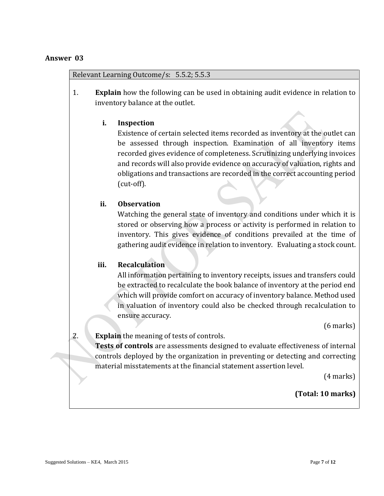#### Relevant Learning Outcome/s: 5.5.2; 5.5.3

1. **Explain** how the following can be used in obtaining audit evidence in relation to inventory balance at the outlet.

#### **i. Inspection**

Existence of certain selected items recorded as inventory at the outlet can be assessed through inspection. Examination of all inventory items recorded gives evidence of completeness. Scrutinizing underlying invoices and records will also provide evidence on accuracy of valuation, rights and obligations and transactions are recorded in the correct accounting period (cut-off).

#### **ii. Observation**

Watching the general state of inventory and conditions under which it is stored or observing how a process or activity is performed in relation to inventory. This gives evidence of conditions prevailed at the time of gathering audit evidence in relation to inventory. Evaluating a stock count.

#### **iii. Recalculation**

All information pertaining to inventory receipts, issues and transfers could be extracted to recalculate the book balance of inventory at the period end which will provide comfort on accuracy of inventory balance. Method used in valuation of inventory could also be checked through recalculation to ensure accuracy.

(6 marks)

# 2. **Explain** the meaning of tests of controls.

**Tests of controls** are assessments designed to evaluate effectiveness of internal controls deployed by the organization in preventing or detecting and correcting material misstatements at the financial statement assertion level.

(4 marks)

#### **(Total: 10 marks)**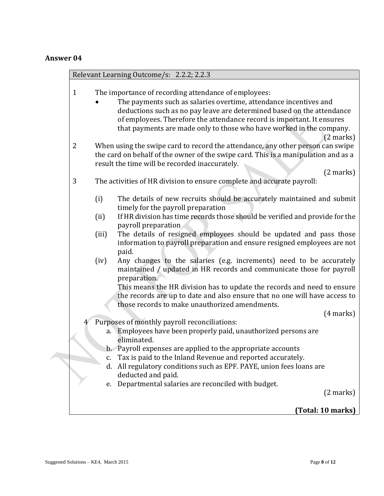|                |          | Relevant Learning Outcome/s: 2.2.2; 2.2.3                                                                                                                                                                                                                                                                                                                                    |
|----------------|----------|------------------------------------------------------------------------------------------------------------------------------------------------------------------------------------------------------------------------------------------------------------------------------------------------------------------------------------------------------------------------------|
| $\mathbf{1}$   |          | The importance of recording attendance of employees:<br>The payments such as salaries overtime, attendance incentives and<br>deductions such as no pay leave are determined based on the attendance<br>of employees. Therefore the attendance record is important. It ensures<br>that payments are made only to those who have worked in the company.<br>$(2 \text{ marks})$ |
| $\overline{2}$ |          | When using the swipe card to record the attendance, any other person can swipe<br>the card on behalf of the owner of the swipe card. This is a manipulation and as a<br>result the time will be recorded inaccurately.                                                                                                                                                       |
| 3              |          | $(2 \text{ marks})$<br>The activities of HR division to ensure complete and accurate payroll:                                                                                                                                                                                                                                                                                |
|                | (i)      | The details of new recruits should be accurately maintained and submit<br>timely for the payroll preparation                                                                                                                                                                                                                                                                 |
|                | (ii)     | If HR division has time records those should be verified and provide for the<br>payroll preparation                                                                                                                                                                                                                                                                          |
|                | (iii)    | The details of resigned employees should be updated and pass those<br>information to payroll preparation and ensure resigned employees are not<br>paid.                                                                                                                                                                                                                      |
|                | (iv)     | Any changes to the salaries (e.g. increments) need to be accurately<br>maintained / updated in HR records and communicate those for payroll<br>preparation.                                                                                                                                                                                                                  |
|                |          | This means the HR division has to update the records and need to ensure<br>the records are up to date and also ensure that no one will have access to<br>those records to make unauthorized amendments.                                                                                                                                                                      |
|                |          | (4 marks)                                                                                                                                                                                                                                                                                                                                                                    |
|                |          | Purposes of monthly payroll reconciliations:<br>a. Employees have been properly paid, unauthorized persons are<br>eliminated.                                                                                                                                                                                                                                                |
|                |          | b. Payroll expenses are applied to the appropriate accounts                                                                                                                                                                                                                                                                                                                  |
|                | c.<br>d. | Tax is paid to the Inland Revenue and reported accurately.<br>All regulatory conditions such as EPF. PAYE, union fees loans are<br>deducted and paid.                                                                                                                                                                                                                        |
|                | e.       | Departmental salaries are reconciled with budget.<br>$(2 \text{ marks})$                                                                                                                                                                                                                                                                                                     |
|                |          | (Total: 10 marks)                                                                                                                                                                                                                                                                                                                                                            |
|                |          |                                                                                                                                                                                                                                                                                                                                                                              |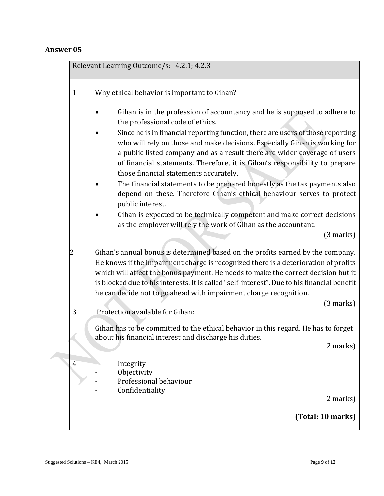Relevant Learning Outcome/s: 4.2.1; 4.2.3 1 Why ethical behavior is important to Gihan? Gihan is in the profession of accountancy and he is supposed to adhere to the professional code of ethics. Since he is in financial reporting function, there are users of those reporting who will rely on those and make decisions. Especially Gihan is working for a public listed company and as a result there are wider coverage of users of financial statements. Therefore, it is Gihan's responsibility to prepare those financial statements accurately. The financial statements to be prepared honestly as the tax payments also depend on these. Therefore Gihan's ethical behaviour serves to protect public interest. Gihan is expected to be technically competent and make correct decisions as the employer will rely the work of Gihan as the accountant. (3 marks) 2 Gihan's annual bonus is determined based on the profits earned by the company. He knows if the impairment charge is recognized there is a deterioration of profits which will affect the bonus payment. He needs to make the correct decision but it is blocked due to his interests. It is called "self-interest". Due to his financial benefit he can decide not to go ahead with impairment charge recognition. (3 marks) 3 Protection available for Gihan: Gihan has to be committed to the ethical behavior in this regard. He has to forget about his financial interest and discharge his duties. 2 marks) 4 - Integrity **Objectivity** - Professional behaviour **Confidentiality** 2 marks) **(Total: 10 marks)**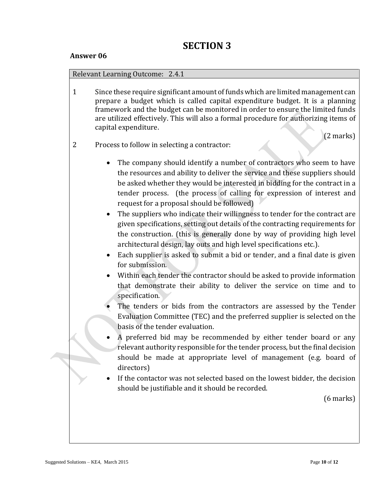#### Relevant Learning Outcome: 2.4.1

1 Since these require significant amount of funds which are limited management can prepare a budget which is called capital expenditure budget. It is a planning framework and the budget can be monitored in order to ensure the limited funds are utilized effectively. This will also a formal procedure for authorizing items of capital expenditure.

(2 marks)

- 2 Process to follow in selecting a contractor:
	- The company should identify a number of contractors who seem to have the resources and ability to deliver the service and these suppliers should be asked whether they would be interested in bidding for the contract in a tender process. (the process of calling for expression of interest and request for a proposal should be followed)
	- The suppliers who indicate their willingness to tender for the contract are given specifications, setting out details of the contracting requirements for the construction. (this is generally done by way of providing high level architectural design, lay outs and high level specifications etc.).
	- Each supplier is asked to submit a bid or tender, and a final date is given for submission.
	- Within each tender the contractor should be asked to provide information that demonstrate their ability to deliver the service on time and to specification.
	- The tenders or bids from the contractors are assessed by the Tender Evaluation Committee (TEC) and the preferred supplier is selected on the basis of the tender evaluation.
	- A preferred bid may be recommended by either tender board or any relevant authority responsible for the tender process, but the final decision should be made at appropriate level of management (e.g. board of directors)
	- If the contactor was not selected based on the lowest bidder, the decision should be justifiable and it should be recorded.

(6 marks)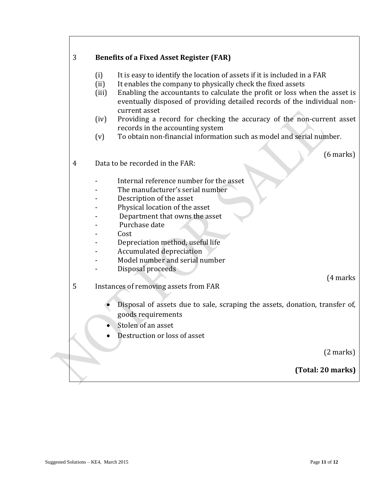| 3 | <b>Benefits of a Fixed Asset Register (FAR)</b>                                                                                                                                  |             |
|---|----------------------------------------------------------------------------------------------------------------------------------------------------------------------------------|-------------|
|   | It is easy to identify the location of assets if it is included in a FAR<br>(i)                                                                                                  |             |
|   | (ii)<br>It enables the company to physically check the fixed assets                                                                                                              |             |
|   | Enabling the accountants to calculate the profit or loss when the asset is<br>(iii)<br>eventually disposed of providing detailed records of the individual non-<br>current asset |             |
|   | Providing a record for checking the accuracy of the non-current asset<br>(iv)                                                                                                    |             |
|   | records in the accounting system                                                                                                                                                 |             |
|   | To obtain non-financial information such as model and serial number.<br>(v)                                                                                                      |             |
|   |                                                                                                                                                                                  | $(6$ marks) |
| 4 | Data to be recorded in the FAR:                                                                                                                                                  |             |
|   | Internal reference number for the asset                                                                                                                                          |             |
|   | The manufacturer's serial number                                                                                                                                                 |             |
|   | Description of the asset                                                                                                                                                         |             |
|   | Physical location of the asset                                                                                                                                                   |             |
|   | Department that owns the asset                                                                                                                                                   |             |
|   | Purchase date                                                                                                                                                                    |             |
|   | Cost                                                                                                                                                                             |             |
|   | Depreciation method, useful life                                                                                                                                                 |             |
|   | Accumulated depreciation<br>Model number and serial number                                                                                                                       |             |
|   | Disposal proceeds                                                                                                                                                                |             |
|   |                                                                                                                                                                                  | (4 marks)   |
| 5 | Instances of removing assets from FAR                                                                                                                                            |             |
|   |                                                                                                                                                                                  |             |
|   | Disposal of assets due to sale, scraping the assets, donation, transfer of,<br>goods requirements                                                                                |             |
|   | Stolen of an asset                                                                                                                                                               |             |
|   | Destruction or loss of asset                                                                                                                                                     |             |
|   |                                                                                                                                                                                  | (2 marks)   |
|   | (Total: 20 marks)                                                                                                                                                                |             |